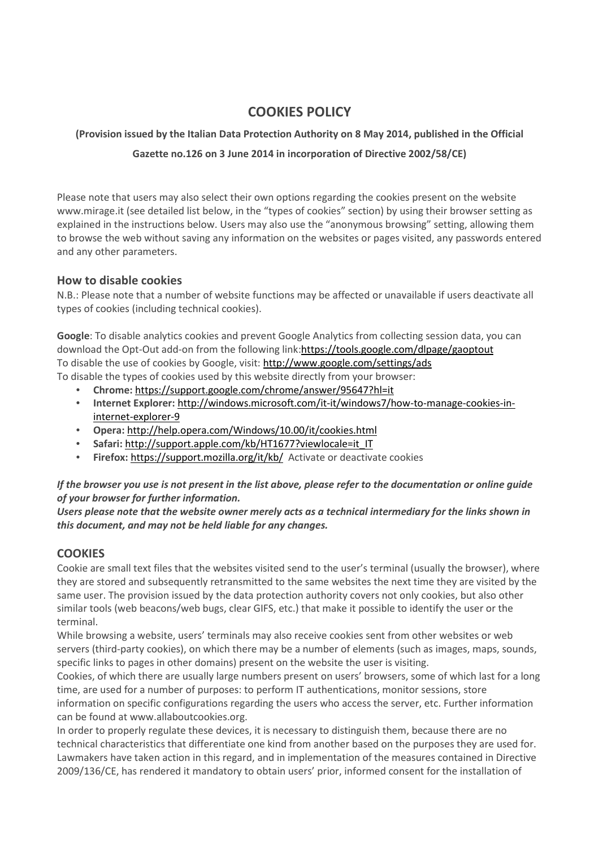# **COOKIES POLICY**

## **(Provision issued by the Italian Data Protection Authority on 8 May 2014, published in the Official**

## **Gazette no.126 on 3 June 2014 in incorporation of Directive 2002/58/CE)**

Please note that users may also select their own options regarding the cookies present on the website www.mirage.it (see detailed list below, in the "types of cookies" section) by using their browser setting as explained in the instructions below. Users may also use the "anonymous browsing" setting, allowing them to browse the web without saving any information on the websites or pages visited, any passwords entered and any other parameters.

## **How to disable cookies**

N.B.: Please note that a number of website functions may be affected or unavailable if users deactivate all types of cookies (including technical cookies).

**Google**: To disable analytics cookies and prevent Google Analytics from collecting session data, you can download the Opt-Out add-on from the following link:https://tools.google.com/dlpage/gaoptout To disable the use of cookies by Google, visit: http://www.google.com/settings/ads To disable the types of cookies used by this website directly from your browser:

- **Chrome:** https://support.google.com/chrome/answer/95647?hl=it
- **Internet Explorer:** http://windows.microsoft.com/it-it/windows7/how-to-manage-cookies-ininternet-explorer-9
- **Opera:** http://help.opera.com/Windows/10.00/it/cookies.html
- **Safari:** http://support.apple.com/kb/HT1677?viewlocale=it\_IT
- **Firefox:** https://support.mozilla.org/it/kb/ Activate or deactivate cookies

## *If the browser you use is not present in the list above, please refer to the documentation or online guide of your browser for further information.*

*Users please note that the website owner merely acts as a technical intermediary for the links shown in this document, and may not be held liable for any changes.* 

# **COOKIES**

Cookie are small text files that the websites visited send to the user's terminal (usually the browser), where they are stored and subsequently retransmitted to the same websites the next time they are visited by the same user. The provision issued by the data protection authority covers not only cookies, but also other similar tools (web beacons/web bugs, clear GIFS, etc.) that make it possible to identify the user or the terminal.

While browsing a website, users' terminals may also receive cookies sent from other websites or web servers (third-party cookies), on which there may be a number of elements (such as images, maps, sounds, specific links to pages in other domains) present on the website the user is visiting.

Cookies, of which there are usually large numbers present on users' browsers, some of which last for a long time, are used for a number of purposes: to perform IT authentications, monitor sessions, store information on specific configurations regarding the users who access the server, etc. Further information can be found at www.allaboutcookies.org.

In order to properly regulate these devices, it is necessary to distinguish them, because there are no technical characteristics that differentiate one kind from another based on the purposes they are used for. Lawmakers have taken action in this regard, and in implementation of the measures contained in Directive 2009/136/CE, has rendered it mandatory to obtain users' prior, informed consent for the installation of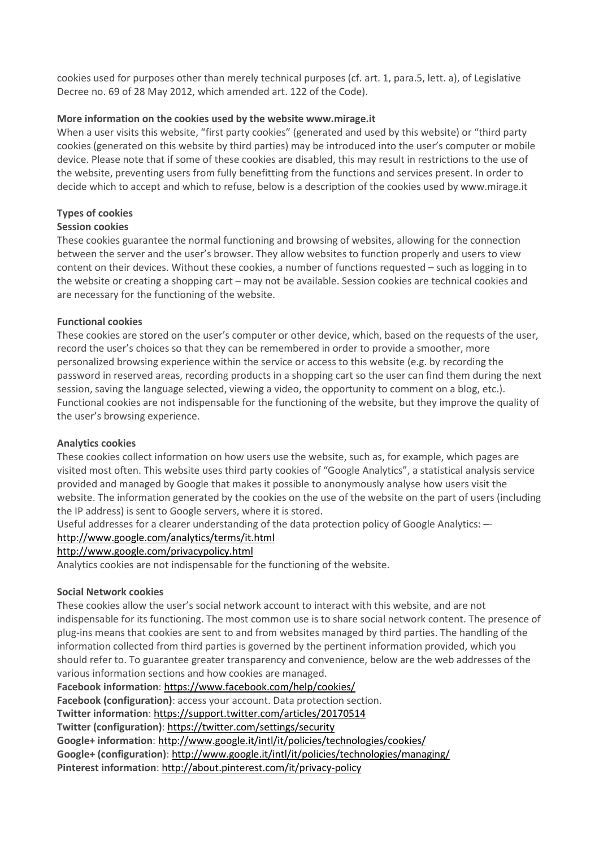cookies used for purposes other than merely technical purposes (cf. art. 1, para.5, lett. a), of Legislative Decree no. 69 of 28 May 2012, which amended art. 122 of the Code).

#### **More information on the cookies used by the website www.mirage.it**

When a user visits this website, "first party cookies" (generated and used by this website) or "third party cookies (generated on this website by third parties) may be introduced into the user's computer or mobile device. Please note that if some of these cookies are disabled, this may result in restrictions to the use of the website, preventing users from fully benefitting from the functions and services present. In order to decide which to accept and which to refuse, below is a description of the cookies used by www.mirage.it

## **Types of cookies**

#### **Session cookies**

These cookies guarantee the normal functioning and browsing of websites, allowing for the connection between the server and the user's browser. They allow websites to function properly and users to view content on their devices. Without these cookies, a number of functions requested – such as logging in to the website or creating a shopping cart – may not be available. Session cookies are technical cookies and are necessary for the functioning of the website.

#### **Functional cookies**

These cookies are stored on the user's computer or other device, which, based on the requests of the user, record the user's choices so that they can be remembered in order to provide a smoother, more personalized browsing experience within the service or access to this website (e.g. by recording the password in reserved areas, recording products in a shopping cart so the user can find them during the next session, saving the language selected, viewing a video, the opportunity to comment on a blog, etc.). Functional cookies are not indispensable for the functioning of the website, but they improve the quality of the user's browsing experience.

## **Analytics cookies**

These cookies collect information on how users use the website, such as, for example, which pages are visited most often. This website uses third party cookies of "Google Analytics", a statistical analysis service provided and managed by Google that makes it possible to anonymously analyse how users visit the website. The information generated by the cookies on the use of the website on the part of users (including the IP address) is sent to Google servers, where it is stored.

Useful addresses for a clearer understanding of the data protection policy of Google Analytics: –-

#### http://www.google.com/analytics/terms/it.html

http://www.google.com/privacypolicy.html

Analytics cookies are not indispensable for the functioning of the website.

## **Social Network cookies**

These cookies allow the user's social network account to interact with this website, and are not indispensable for its functioning. The most common use is to share social network content. The presence of plug-ins means that cookies are sent to and from websites managed by third parties. The handling of the information collected from third parties is governed by the pertinent information provided, which you should refer to. To guarantee greater transparency and convenience, below are the web addresses of the various information sections and how cookies are managed.

#### **Facebook information**: https://www.facebook.com/help/cookies/

**Facebook (configuration)**: access your account. Data protection section.

**Twitter information**: https://support.twitter.com/articles/20170514

**Twitter (configuration)**: https://twitter.com/settings/security

**Google+ information**: http://www.google.it/intl/it/policies/technologies/cookies/

**Google+ (configuration)**: http://www.google.it/intl/it/policies/technologies/managing/

**Pinterest information**: http://about.pinterest.com/it/privacy-policy